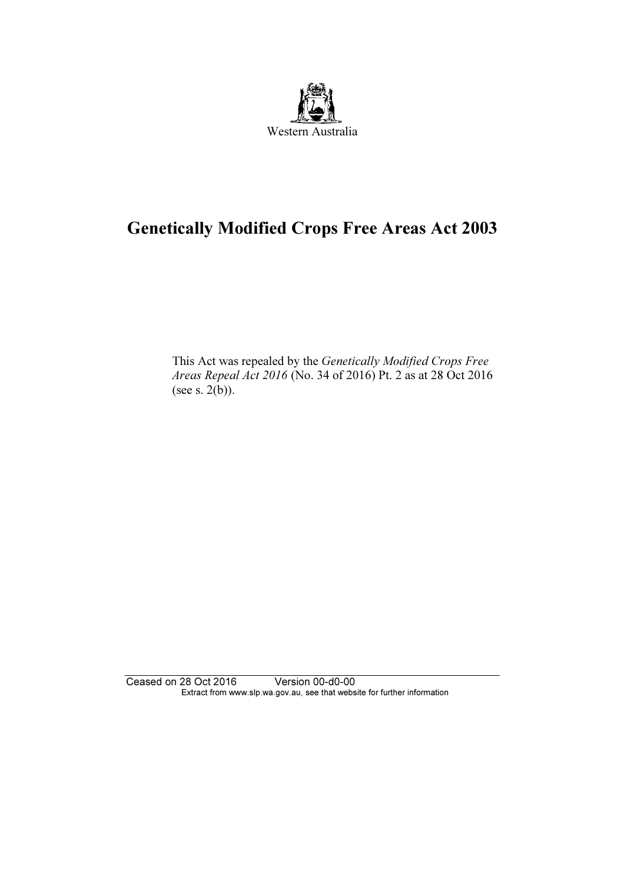

# Genetically Modified Crops Free Areas Act 2003

 This Act was repealed by the Genetically Modified Crops Free Areas Repeal Act 2016 (No. 34 of 2016) Pt. 2 as at 28 Oct 2016 (see s. 2(b)).

Ceased on 28 Oct 2016 Version 00-d0-00 Extract from www.slp.wa.gov.au, see that website for further information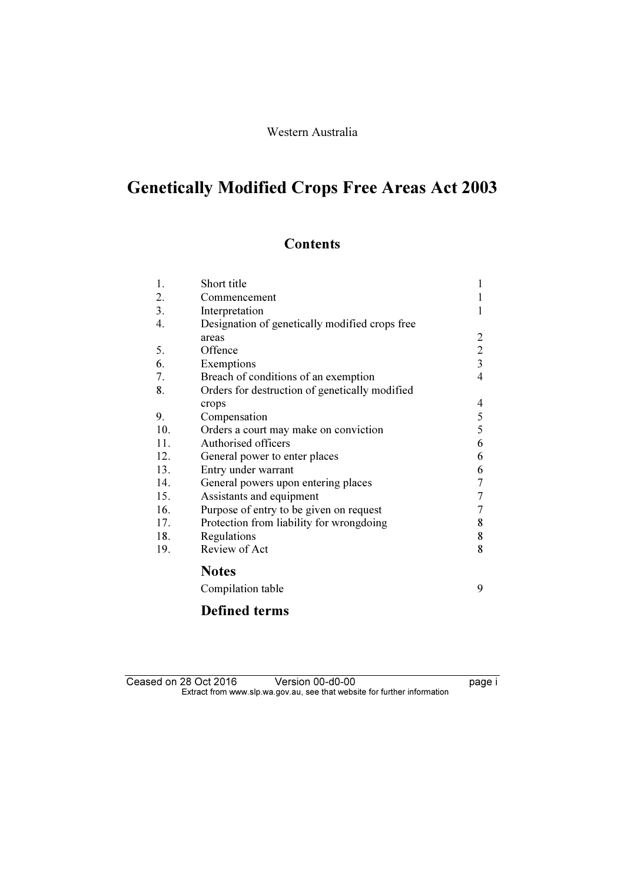#### Western Australia

# Genetically Modified Crops Free Areas Act 2003

# **Contents**

| 1.  | Short title                                    | 1              |
|-----|------------------------------------------------|----------------|
| 2.  | Commencement                                   |                |
| 3.  | Interpretation                                 | 1              |
| 4.  | Designation of genetically modified crops free |                |
|     | areas                                          | 2              |
| 5.  | Offence                                        | $\overline{2}$ |
| 6.  | Exemptions                                     | $\overline{3}$ |
| 7.  | Breach of conditions of an exemption           | 4              |
| 8.  | Orders for destruction of genetically modified |                |
|     | crops                                          | 4              |
| 9.  | Compensation                                   | 5              |
| 10. | Orders a court may make on conviction          | 5              |
| 11. | Authorised officers                            | 6              |
| 12. | General power to enter places                  | 6              |
| 13. | Entry under warrant                            | 6              |
| 14. | General powers upon entering places            | 7              |
| 15. | Assistants and equipment                       | 7              |
| 16. | Purpose of entry to be given on request        | 7              |
| 17. | Protection from liability for wrongdoing       | 8              |
| 18. | Regulations                                    | 8              |
| 19. | Review of Act                                  | 8              |
|     | <b>Notes</b>                                   |                |
|     | Compilation table                              | 9              |

## Defined terms

| Ceased on 28 Oct 2016                                                    |  | Version 00-d0-00 | page i |
|--------------------------------------------------------------------------|--|------------------|--------|
| Extract from www.slp.wa.gov.au, see that website for further information |  |                  |        |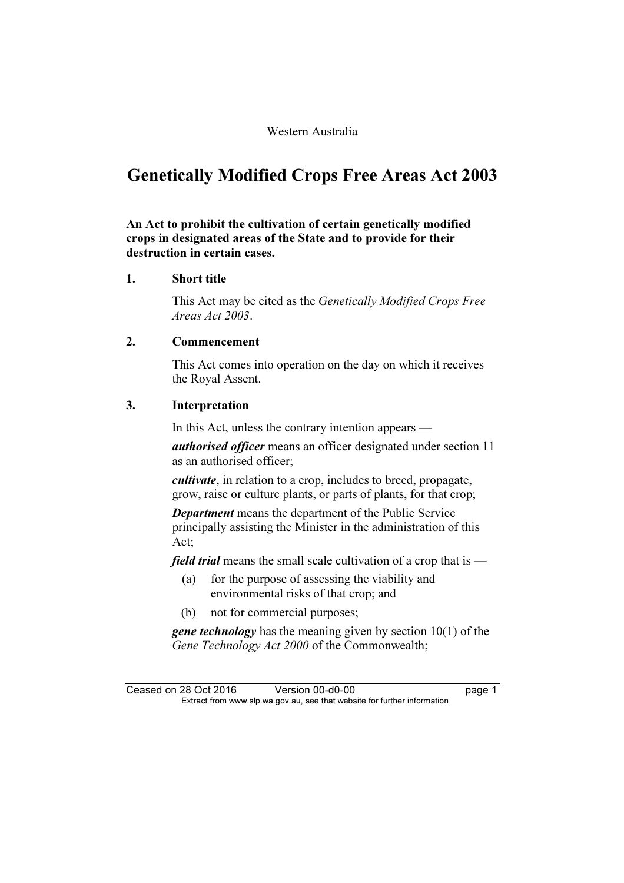#### Western Australia

# Genetically Modified Crops Free Areas Act 2003

#### An Act to prohibit the cultivation of certain genetically modified crops in designated areas of the State and to provide for their destruction in certain cases.

#### 1. Short title

 This Act may be cited as the Genetically Modified Crops Free Areas Act 2003.

#### 2. Commencement

 This Act comes into operation on the day on which it receives the Royal Assent.

#### 3. Interpretation

In this Act, unless the contrary intention appears —

authorised officer means an officer designated under section 11 as an authorised officer;

cultivate, in relation to a crop, includes to breed, propagate, grow, raise or culture plants, or parts of plants, for that crop;

Department means the department of the Public Service principally assisting the Minister in the administration of this Act;

*field trial* means the small scale cultivation of a crop that is  $-$ 

- (a) for the purpose of assessing the viability and environmental risks of that crop; and
- (b) not for commercial purposes;

**gene technology** has the meaning given by section  $10(1)$  of the Gene Technology Act 2000 of the Commonwealth;

Ceased on 28 Oct 2016 Version 00-d0-00 page 1<br>Extract from www.slp.wa.gov.au, see that website for further information  $\mathbf{F}$  from which was the set that we besite for further information  $\mathbf{F}$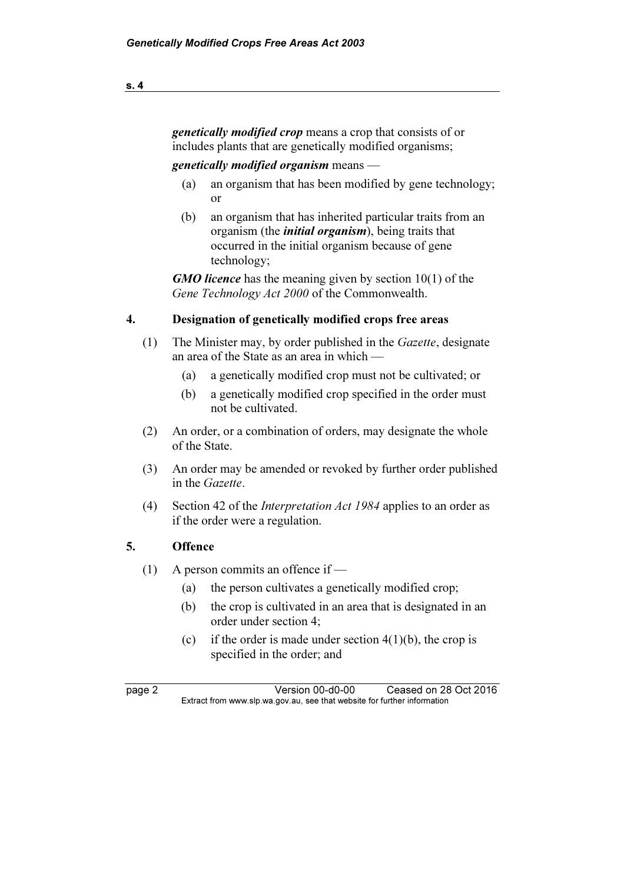genetically modified crop means a crop that consists of or includes plants that are genetically modified organisms;

#### genetically modified organism means —

- (a) an organism that has been modified by gene technology; or
- (b) an organism that has inherited particular traits from an organism (the initial organism), being traits that occurred in the initial organism because of gene technology;

**GMO licence** has the meaning given by section 10(1) of the Gene Technology Act 2000 of the Commonwealth.

#### 4. Designation of genetically modified crops free areas

- (1) The Minister may, by order published in the Gazette, designate an area of the State as an area in which —
	- (a) a genetically modified crop must not be cultivated; or
	- (b) a genetically modified crop specified in the order must not be cultivated.
- (2) An order, or a combination of orders, may designate the whole of the State.
- (3) An order may be amended or revoked by further order published in the Gazette.
- (4) Section 42 of the Interpretation Act 1984 applies to an order as if the order were a regulation.

#### 5. Offence

- (1) A person commits an offence if
	- (a) the person cultivates a genetically modified crop;
	- (b) the crop is cultivated in an area that is designated in an order under section 4;
	- (c) if the order is made under section  $4(1)(b)$ , the crop is specified in the order; and

page 2 Version 00-d0-00 Ceased on 28 Oct 2016<br>Extract from www.slp.wa.gov.au, see that website for further information  $\mathbf{F}$  from which was the set that we besite for further information  $\mathbf{F}$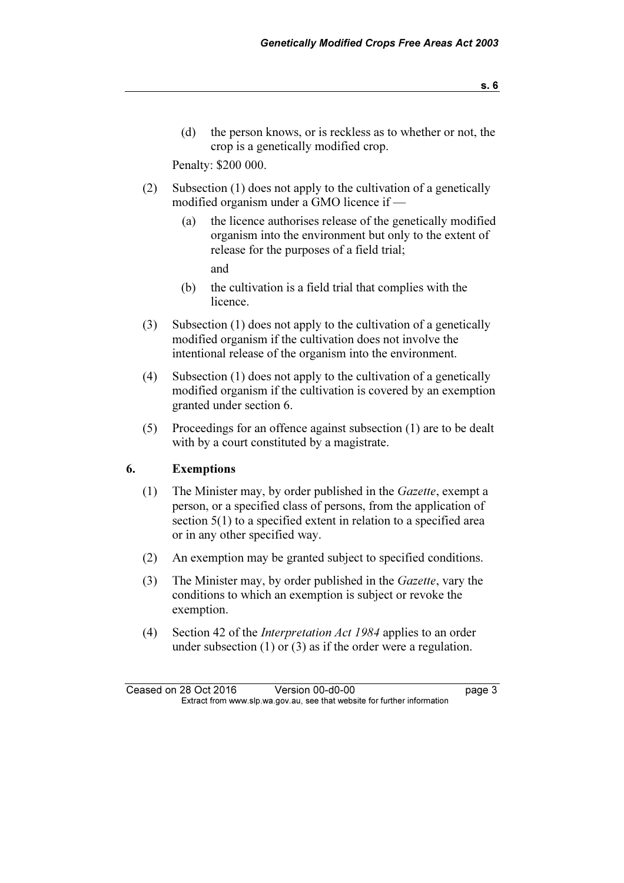(d) the person knows, or is reckless as to whether or not, the crop is a genetically modified crop.

Penalty: \$200 000.

- (2) Subsection (1) does not apply to the cultivation of a genetically modified organism under a GMO licence if —
	- (a) the licence authorises release of the genetically modified organism into the environment but only to the extent of release for the purposes of a field trial; and
	- (b) the cultivation is a field trial that complies with the licence.
- (3) Subsection (1) does not apply to the cultivation of a genetically modified organism if the cultivation does not involve the intentional release of the organism into the environment.
- (4) Subsection (1) does not apply to the cultivation of a genetically modified organism if the cultivation is covered by an exemption granted under section 6.
- (5) Proceedings for an offence against subsection (1) are to be dealt with by a court constituted by a magistrate.

#### 6. Exemptions

- (1) The Minister may, by order published in the Gazette, exempt a person, or a specified class of persons, from the application of section 5(1) to a specified extent in relation to a specified area or in any other specified way.
- (2) An exemption may be granted subject to specified conditions.
- (3) The Minister may, by order published in the Gazette, vary the conditions to which an exemption is subject or revoke the exemption.
- (4) Section 42 of the Interpretation Act 1984 applies to an order under subsection (1) or (3) as if the order were a regulation.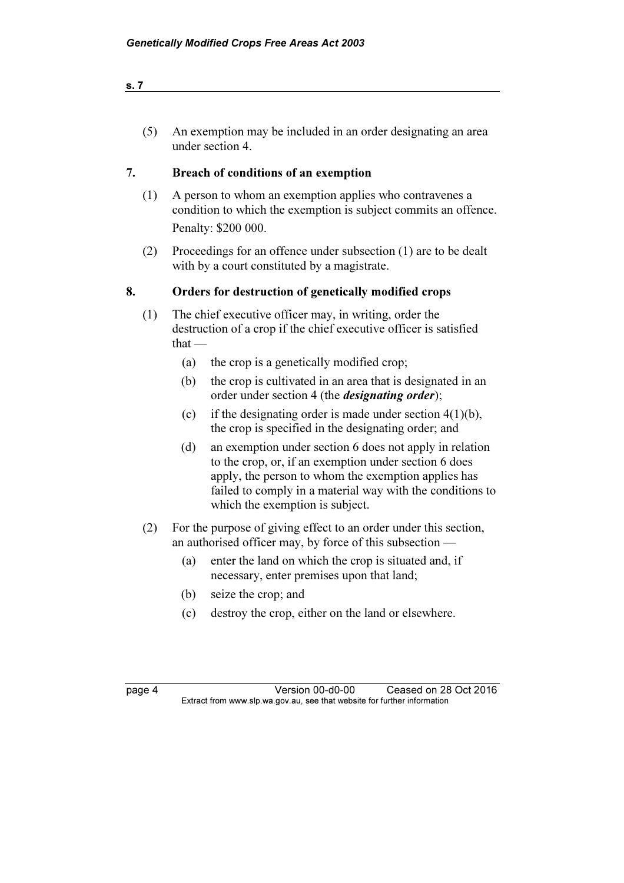(5) An exemption may be included in an order designating an area under section 4.

### 7. Breach of conditions of an exemption

- (1) A person to whom an exemption applies who contravenes a condition to which the exemption is subject commits an offence. Penalty: \$200 000.
- (2) Proceedings for an offence under subsection (1) are to be dealt with by a court constituted by a magistrate.

### 8. Orders for destruction of genetically modified crops

- (1) The chief executive officer may, in writing, order the destruction of a crop if the chief executive officer is satisfied that —
	- (a) the crop is a genetically modified crop;
	- (b) the crop is cultivated in an area that is designated in an order under section 4 (the designating order);
	- (c) if the designating order is made under section  $4(1)(b)$ , the crop is specified in the designating order; and
	- (d) an exemption under section 6 does not apply in relation to the crop, or, if an exemption under section 6 does apply, the person to whom the exemption applies has failed to comply in a material way with the conditions to which the exemption is subject.
- (2) For the purpose of giving effect to an order under this section, an authorised officer may, by force of this subsection —
	- (a) enter the land on which the crop is situated and, if necessary, enter premises upon that land;
	- (b) seize the crop; and
	- (c) destroy the crop, either on the land or elsewhere.

| r<br>۰ |  |
|--------|--|
|--------|--|

**Page 4 Version 00-d0-00 Ceased on 28 Oct 2016**<br>Extract from www.slp.wa.gov.au, see that website for further information  $\mathbf{F}$  from which was the set that we besite for further information  $\mathbf{F}$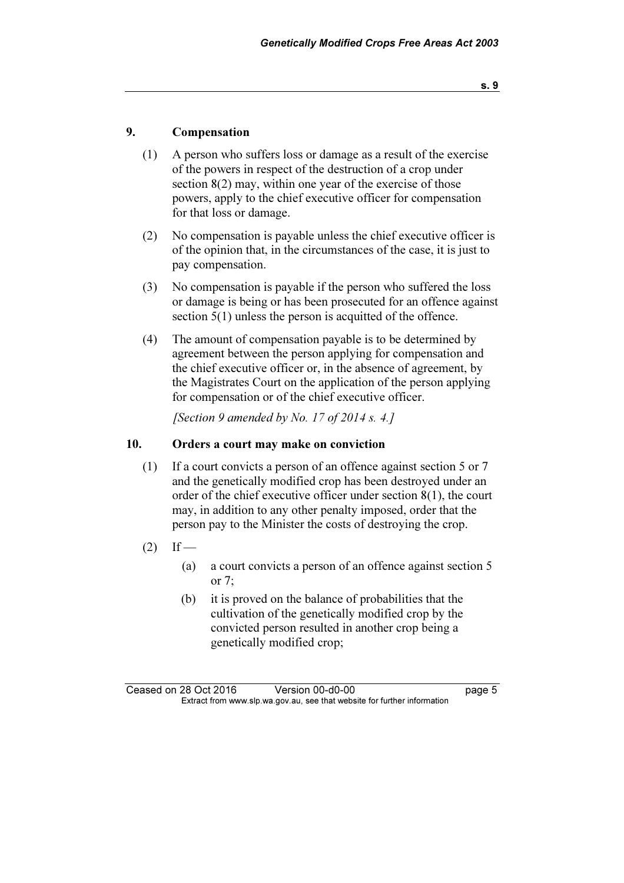#### 9. Compensation

- (1) A person who suffers loss or damage as a result of the exercise of the powers in respect of the destruction of a crop under section 8(2) may, within one year of the exercise of those powers, apply to the chief executive officer for compensation for that loss or damage.
- (2) No compensation is payable unless the chief executive officer is of the opinion that, in the circumstances of the case, it is just to pay compensation.
- (3) No compensation is payable if the person who suffered the loss or damage is being or has been prosecuted for an offence against section 5(1) unless the person is acquitted of the offence.
- (4) The amount of compensation payable is to be determined by agreement between the person applying for compensation and the chief executive officer or, in the absence of agreement, by the Magistrates Court on the application of the person applying for compensation or of the chief executive officer.

[Section 9 amended by No. 17 of 2014 s. 4.]

#### 10. Orders a court may make on conviction

- (1) If a court convicts a person of an offence against section 5 or 7 and the genetically modified crop has been destroyed under an order of the chief executive officer under section 8(1), the court may, in addition to any other penalty imposed, order that the person pay to the Minister the costs of destroying the crop.
- $(2)$  If
	- (a) a court convicts a person of an offence against section 5 or 7;
	- (b) it is proved on the balance of probabilities that the cultivation of the genetically modified crop by the convicted person resulted in another crop being a genetically modified crop;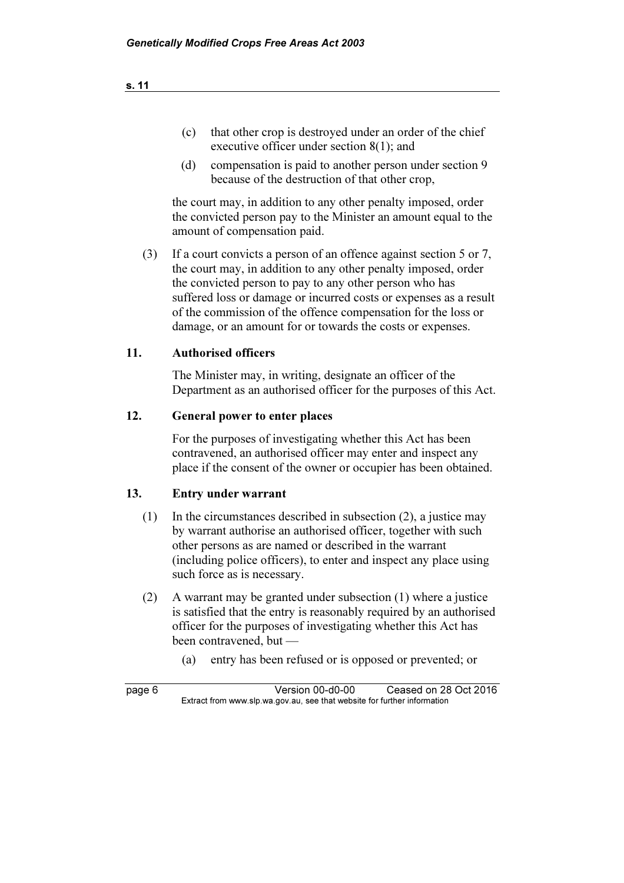- (c) that other crop is destroyed under an order of the chief executive officer under section 8(1); and
- (d) compensation is paid to another person under section 9 because of the destruction of that other crop,

 the court may, in addition to any other penalty imposed, order the convicted person pay to the Minister an amount equal to the amount of compensation paid.

 (3) If a court convicts a person of an offence against section 5 or 7, the court may, in addition to any other penalty imposed, order the convicted person to pay to any other person who has suffered loss or damage or incurred costs or expenses as a result of the commission of the offence compensation for the loss or damage, or an amount for or towards the costs or expenses.

#### 11. Authorised officers

 The Minister may, in writing, designate an officer of the Department as an authorised officer for the purposes of this Act.

#### 12. General power to enter places

 For the purposes of investigating whether this Act has been contravened, an authorised officer may enter and inspect any place if the consent of the owner or occupier has been obtained.

#### 13. Entry under warrant

- (1) In the circumstances described in subsection (2), a justice may by warrant authorise an authorised officer, together with such other persons as are named or described in the warrant (including police officers), to enter and inspect any place using such force as is necessary.
- (2) A warrant may be granted under subsection (1) where a justice is satisfied that the entry is reasonably required by an authorised officer for the purposes of investigating whether this Act has been contravened, but —
	- (a) entry has been refused or is opposed or prevented; or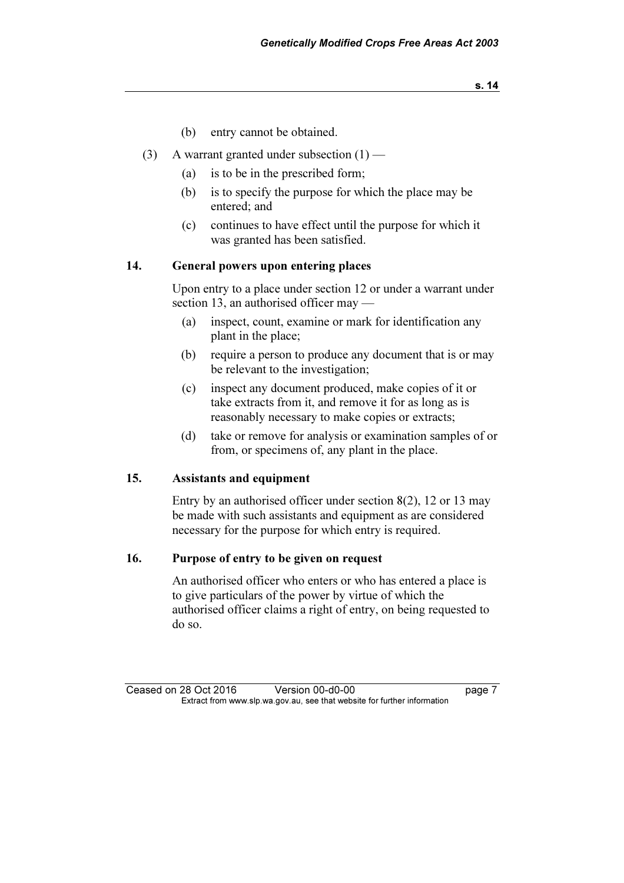- (b) entry cannot be obtained.
- (3) A warrant granted under subsection  $(1)$ 
	- (a) is to be in the prescribed form;
	- (b) is to specify the purpose for which the place may be entered; and
	- (c) continues to have effect until the purpose for which it was granted has been satisfied.

#### 14. General powers upon entering places

 Upon entry to a place under section 12 or under a warrant under section 13, an authorised officer may —

- (a) inspect, count, examine or mark for identification any plant in the place;
- (b) require a person to produce any document that is or may be relevant to the investigation;
- (c) inspect any document produced, make copies of it or take extracts from it, and remove it for as long as is reasonably necessary to make copies or extracts;
- (d) take or remove for analysis or examination samples of or from, or specimens of, any plant in the place.

#### 15. Assistants and equipment

 Entry by an authorised officer under section 8(2), 12 or 13 may be made with such assistants and equipment as are considered necessary for the purpose for which entry is required.

#### 16. Purpose of entry to be given on request

 An authorised officer who enters or who has entered a place is to give particulars of the power by virtue of which the authorised officer claims a right of entry, on being requested to do so.

Ceased on 28 Oct 2016 Version 00-d0-00 page 7<br>Extract from www.slp.wa.gov.au, see that website for further information  $\mathbf{F}$  from which was the set that we besite for further information  $\mathbf{F}$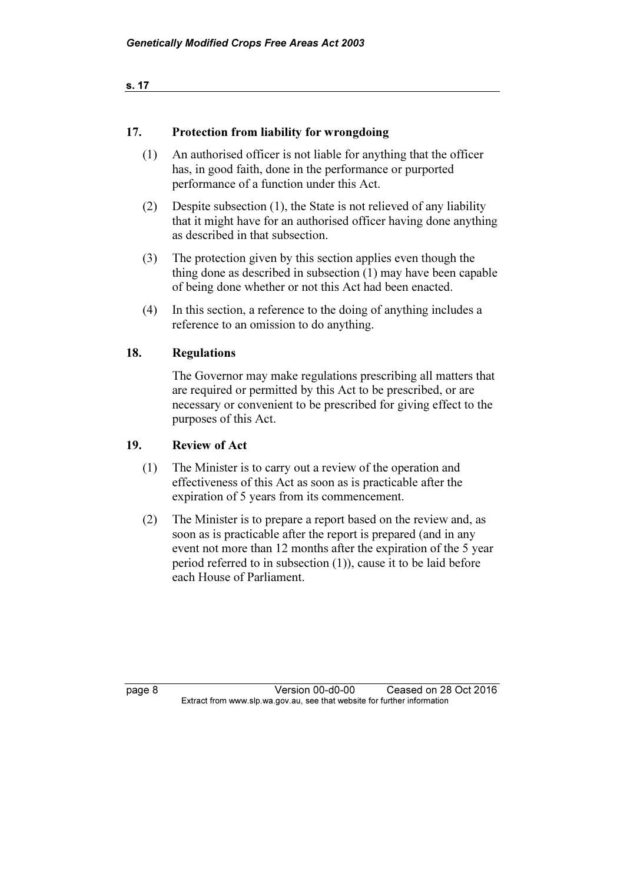s. 17

#### 17. Protection from liability for wrongdoing

- (1) An authorised officer is not liable for anything that the officer has, in good faith, done in the performance or purported performance of a function under this Act.
- (2) Despite subsection (1), the State is not relieved of any liability that it might have for an authorised officer having done anything as described in that subsection.
- (3) The protection given by this section applies even though the thing done as described in subsection (1) may have been capable of being done whether or not this Act had been enacted.
- (4) In this section, a reference to the doing of anything includes a reference to an omission to do anything.

#### 18. Regulations

 The Governor may make regulations prescribing all matters that are required or permitted by this Act to be prescribed, or are necessary or convenient to be prescribed for giving effect to the purposes of this Act.

#### 19. Review of Act

- (1) The Minister is to carry out a review of the operation and effectiveness of this Act as soon as is practicable after the expiration of 5 years from its commencement.
- (2) The Minister is to prepare a report based on the review and, as soon as is practicable after the report is prepared (and in any event not more than 12 months after the expiration of the 5 year period referred to in subsection (1)), cause it to be laid before each House of Parliament.

page 8 Version 00-d0-00 Ceased on 28 Oct 2016<br>Extract from www.slp.wa.gov.au, see that website for further information  $\mathbf{F}$  from which was the set that we besite for further information  $\mathbf{F}$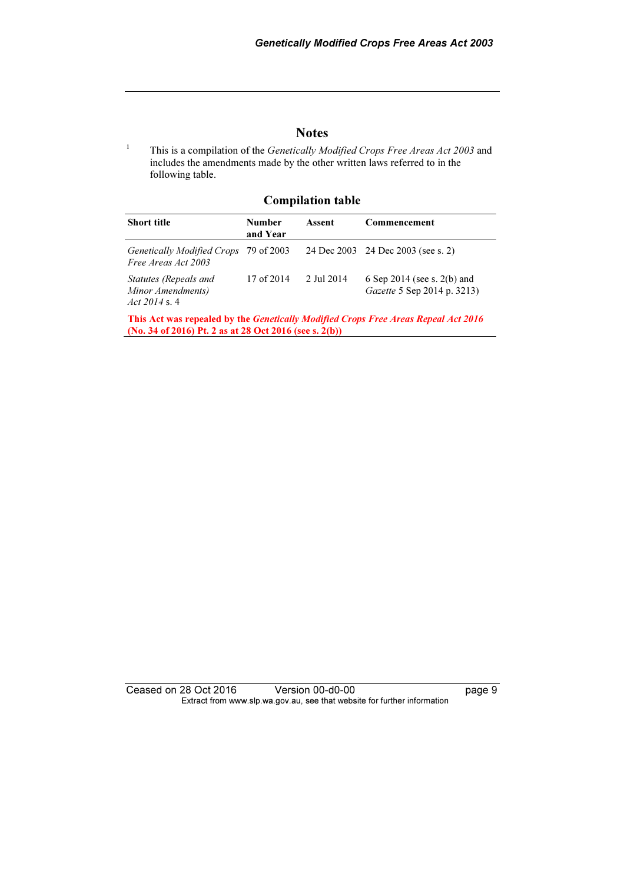#### **Notes**

1 This is a compilation of the Genetically Modified Crops Free Areas Act 2003 and includes the amendments made by the other written laws referred to in the following table.

#### Compilation table

| <b>Short title</b>                                            | <b>Number</b><br>and Year | Assent     | Commencement                                                        |
|---------------------------------------------------------------|---------------------------|------------|---------------------------------------------------------------------|
| Genetically Modified Crops 79 of 2003<br>Free Areas Act 2003  |                           |            | 24 Dec 2003 24 Dec 2003 (see s. 2)                                  |
| Statutes (Repeals and<br>Minor Amendments)<br>Act $2014$ s. 4 | 17 of 2014                | 2 Jul 2014 | 6 Sep 2014 (see s. $2(b)$ and<br><i>Gazette</i> 5 Sep 2014 p. 3213) |

This Act was repealed by the Genetically Modified Crops Free Areas Repeal Act 2016 (No. 34 of 2016) Pt. 2 as at 28 Oct 2016 (see s. 2(b))

Ceased on 28 Oct 2016 Version 00-d0-00 page 9 Extract from www.slp.wa.gov.au, see that website for further information